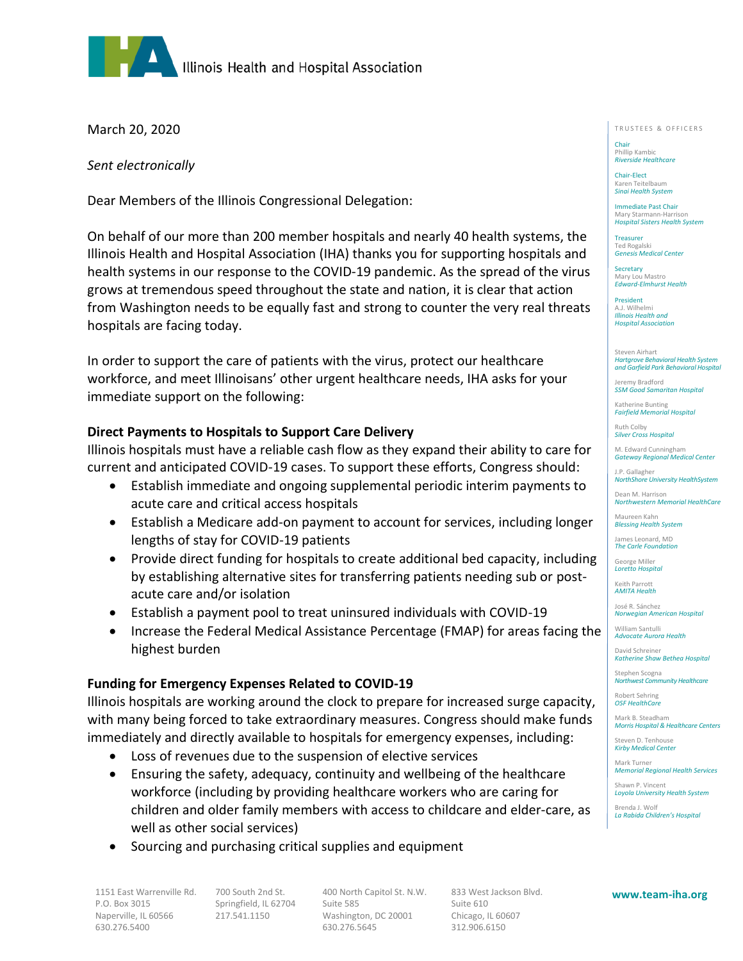

March 20, 2020

*Sent electronically*

Dear Members of the Illinois Congressional Delegation:

On behalf of our more than 200 member hospitals and nearly 40 health systems, the Illinois Health and Hospital Association (IHA) thanks you for supporting hospitals and health systems in our response to the COVID-19 pandemic. As the spread of the virus grows at tremendous speed throughout the state and nation, it is clear that action from Washington needs to be equally fast and strong to counter the very real threats hospitals are facing today.

In order to support the care of patients with the virus, protect our healthcare workforce, and meet Illinoisans' other urgent healthcare needs, IHA asks for your immediate support on the following:

## **Direct Payments to Hospitals to Support Care Delivery**

Illinois hospitals must have a reliable cash flow as they expand their ability to care for current and anticipated COVID-19 cases. To support these efforts, Congress should:

- Establish immediate and ongoing supplemental periodic interim payments to acute care and critical access hospitals
- Establish a Medicare add-on payment to account for services, including longer lengths of stay for COVID-19 patients
- Provide direct funding for hospitals to create additional bed capacity, including by establishing alternative sites for transferring patients needing sub or postacute care and/or isolation
- Establish a payment pool to treat uninsured individuals with COVID-19
- Increase the Federal Medical Assistance Percentage (FMAP) for areas facing the highest burden

## **Funding for Emergency Expenses Related to COVID-19**

Illinois hospitals are working around the clock to prepare for increased surge capacity, with many being forced to take extraordinary measures. Congress should make funds immediately and directly available to hospitals for emergency expenses, including:

- Loss of revenues due to the suspension of elective services
- Ensuring the safety, adequacy, continuity and wellbeing of the healthcare workforce (including by providing healthcare workers who are caring for children and older family members with access to childcare and elder-care, as well as other social services)
- Sourcing and purchasing critical supplies and equipment

1151 East Warrenville Rd. 700 South 2nd St. 400 North Capitol St. N.W. 833 West Jackson Blvd. P.O. Box 3015 Springfield, IL 62704 Suite 585 Suite 610 Naperville, IL 60566 217.541.1150 Washington, DC 20001 Chicago, IL 60607 630.276.5400 630.276.5645 312.906.6150

TRUSTEES & OFFICERS

Chair Phillip Kambic *Riverside Healthcare*

Chair-Elect Karen Teitelbaum *Sinai Health System*

Immediate Past Chair Mary Starmann-Harrison *Hospital Sisters Health System*

Treasurer Ted Rogalski *Genesis Medical Center*

**Secretary** Mary Lou Mastro *Edward-Elmhurst Health*

President A.J. Wilhelmi *Illinois Health and Hospital Association*

Steven Airhart *Hartgrove Behavioral Health System and Garfield Park Behavioral Hospital*

Jeremy Bradford *SSM Good Samaritan Hospital*

Katherine Bunting *Fairfield Memorial Hospital*

Ruth Colby *Silver Cross Hospital*

M. Edward Cunningham *Gateway Regional Medical Center*

J.P. Gallagher *NorthShore University HealthSystem*

Dean M. Harrison *Northwestern Memorial HealthCare*

Maureen Kahn *Blessing Health System*

James Leonard, MD *The Carle Foundation*

George Miller *Loretto Hospital*

Keith Parrott *AMITA Health*

José R. Sánchez *Norwegian American Hospital*

William Santulli *Advocate Aurora Health*

David Schreiner *Katherine Shaw Bethea Hospital*

Stephen Scogna *Northwest Community Healthcare*

Robert Sehring *OSF HealthCare*

Mark B. Steadham *Morris Hospital & Healthcare Centers*

Steven D. Tenhouse *Kirby Medical Center*

Mark Turner *Memorial Regional Health Services*

Shawn P. Vincent *Loyola University Health System*

Brenda J. Wolf *La Rabida Children's Hospital*